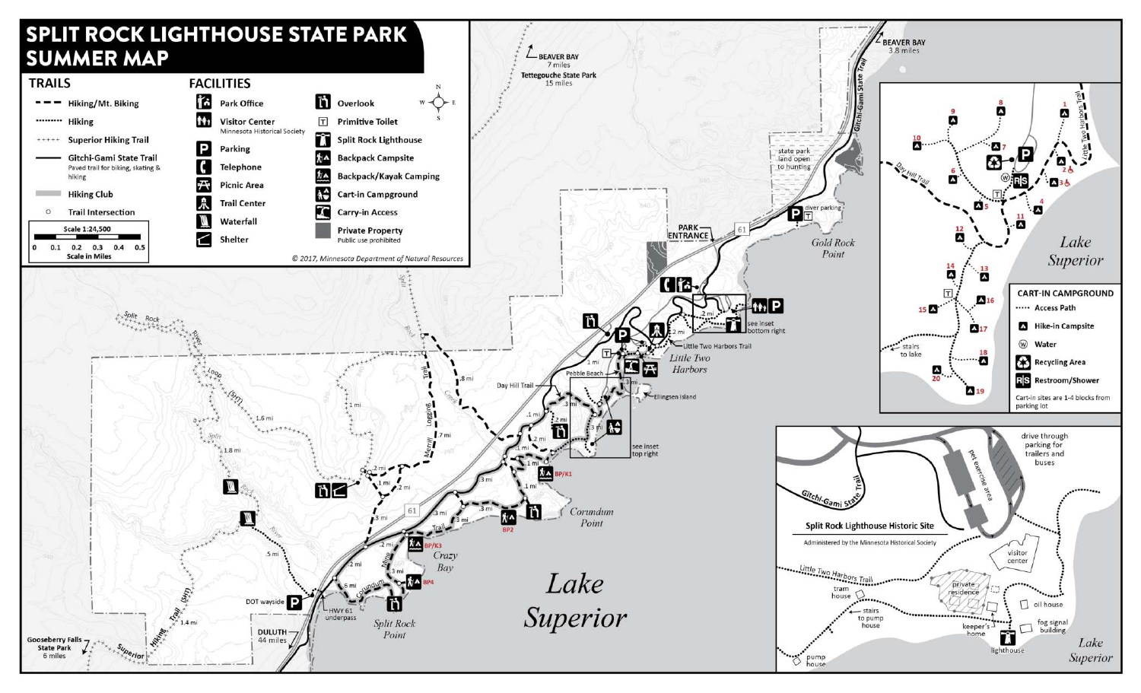